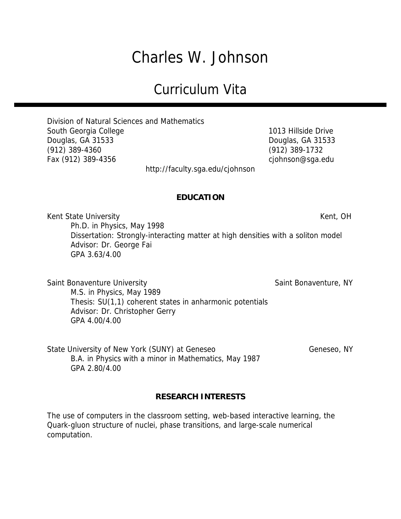# Charles W. Johnson

# Curriculum Vita

Division of Natural Sciences and Mathematics South Georgia College 1013 Hillside Drive Douglas, GA 31533 Douglas, GA 31533 (912) 389-4360 (912) 389-1732 Fax (912) 389-4356 cjohnson@sga.edu

http://faculty.sga.edu/cjohnson

# **EDUCATION**

Kent State University **Kent, OH** Ph.D. in Physics, May 1998 Dissertation: Strongly-interacting matter at high densities with a soliton model Advisor: Dr. George Fai GPA 3.63/4.00

Saint Bonaventure University Saint Bonaventure, NY M.S. in Physics, May 1989 Thesis: SU(1,1) coherent states in anharmonic potentials Advisor: Dr. Christopher Gerry GPA 4.00/4.00

State University of New York (SUNY) at Geneseo Geneseo Geneseo, NY B.A. in Physics with a minor in Mathematics, May 1987 GPA 2.80/4.00

#### **RESEARCH INTERESTS**

The use of computers in the classroom setting, web-based interactive learning, the Quark-gluon structure of nuclei, phase transitions, and large-scale numerical computation.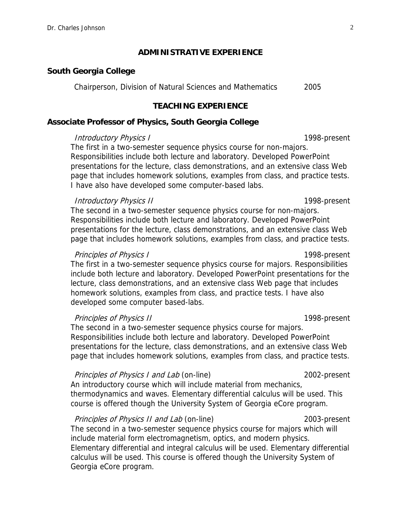#### **ADMINISTRATIVE EXPERIENCE**

#### **South Georgia College**

Chairperson, Division of Natural Sciences and Mathematics 2005

#### **TEACHING EXPERIENCE**

#### **Associate Professor of Physics, South Georgia College**

#### Introductory Physics I and the set of the 1998-present

The first in a two-semester sequence physics course for non-majors. Responsibilities include both lecture and laboratory. Developed PowerPoint presentations for the lecture, class demonstrations, and an extensive class Web page that includes homework solutions, examples from class, and practice tests. I have also have developed some computer-based labs.

#### Introductory Physics II 1998-present

The second in a two-semester sequence physics course for non-majors. Responsibilities include both lecture and laboratory. Developed PowerPoint presentations for the lecture, class demonstrations, and an extensive class Web page that includes homework solutions, examples from class, and practice tests.

#### Principles of Physics I 1998-present

The first in a two-semester sequence physics course for majors. Responsibilities include both lecture and laboratory. Developed PowerPoint presentations for the lecture, class demonstrations, and an extensive class Web page that includes homework solutions, examples from class, and practice tests. I have also developed some computer based-labs.

#### Principles of Physics II 1998-present

The second in a two-semester sequence physics course for majors. Responsibilities include both lecture and laboratory. Developed PowerPoint presentations for the lecture, class demonstrations, and an extensive class Web page that includes homework solutions, examples from class, and practice tests.

#### Principles of Physics I and Lab (on-line) 2002-present

An introductory course which will include material from mechanics, thermodynamics and waves. Elementary differential calculus will be used. This course is offered though the University System of Georgia eCore program.

#### Principles of Physics II and Lab (on-line) 2003-present

The second in a two-semester sequence physics course for majors which will include material form electromagnetism, optics, and modern physics. Elementary differential and integral calculus will be used. Elementary differential calculus will be used. This course is offered though the University System of Georgia eCore program.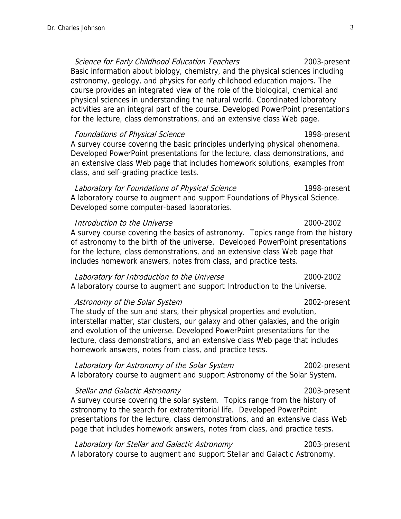Science for Early Childhood Education Teachers 2003-present Basic information about biology, chemistry, and the physical sciences including astronomy, geology, and physics for early childhood education majors. The course provides an integrated view of the role of the biological, chemical and physical sciences in understanding the natural world. Coordinated laboratory activities are an integral part of the course. Developed PowerPoint presentations for the lecture, class demonstrations, and an extensive class Web page.

Foundations of Physical Science 1998-present A survey course covering the basic principles underlying physical phenomena. Developed PowerPoint presentations for the lecture, class demonstrations, and an extensive class Web page that includes homework solutions, examples from class, and self-grading practice tests.

Laboratory for Foundations of Physical Science 1998-present A laboratory course to augment and support Foundations of Physical Science. Developed some computer-based laboratories.

Introduction to the Universe 2000-2002 A survey course covering the basics of astronomy. Topics range from the history of astronomy to the birth of the universe. Developed PowerPoint presentations for the lecture, class demonstrations, and an extensive class Web page that includes homework answers, notes from class, and practice tests.

#### Laboratory for Introduction to the Universe 2000-2002

A laboratory course to augment and support Introduction to the Universe.

#### Astronomy of the Solar System 2002-present

The study of the sun and stars, their physical properties and evolution, interstellar matter, star clusters, our galaxy and other galaxies, and the origin and evolution of the universe. Developed PowerPoint presentations for the lecture, class demonstrations, and an extensive class Web page that includes homework answers, notes from class, and practice tests.

## Laboratory for Astronomy of the Solar System 2002-present

A laboratory course to augment and support Astronomy of the Solar System.

Stellar and Galactic Astronomy 2003-present A survey course covering the solar system. Topics range from the history of astronomy to the search for extraterritorial life. Developed PowerPoint presentations for the lecture, class demonstrations, and an extensive class Web page that includes homework answers, notes from class, and practice tests.

Laboratory for Stellar and Galactic Astronomy 2003-present A laboratory course to augment and support Stellar and Galactic Astronomy.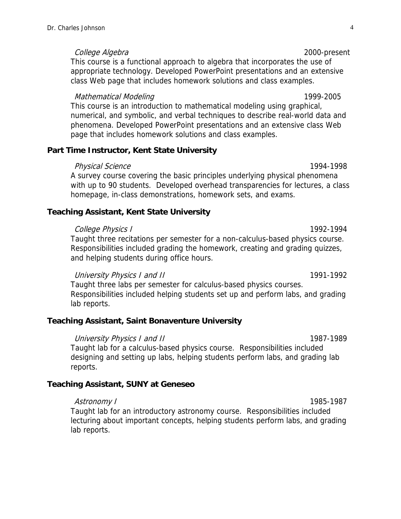College Algebra 2000-present

This course is a functional approach to algebra that incorporates the use of appropriate technology. Developed PowerPoint presentations and an extensive class Web page that includes homework solutions and class examples.

#### Mathematical Modeling 1999-2005

This course is an introduction to mathematical modeling using graphical, numerical, and symbolic, and verbal techniques to describe real-world data and phenomena. Developed PowerPoint presentations and an extensive class Web page that includes homework solutions and class examples.

# **Part Time Instructor, Kent State University**

#### Physical Science 2008 and 2009 1994-1998

A survey course covering the basic principles underlying physical phenomena with up to 90 students. Developed overhead transparencies for lectures, a class homepage, in-class demonstrations, homework sets, and exams.

# **Teaching Assistant, Kent State University**

#### College Physics I 1992-1994

Taught three recitations per semester for a non-calculus-based physics course. Responsibilities included grading the homework, creating and grading quizzes, and helping students during office hours.

University Physics I and II 1991-1992

Taught three labs per semester for calculus-based physics courses. Responsibilities included helping students set up and perform labs, and grading lab reports.

# **Teaching Assistant, Saint Bonaventure University**

#### University Physics I and II 1987-1989

Taught lab for a calculus-based physics course. Responsibilities included designing and setting up labs, helping students perform labs, and grading lab reports.

# **Teaching Assistant, SUNY at Geneseo**

#### Astronomy I 1985-1987

Taught lab for an introductory astronomy course. Responsibilities included lecturing about important concepts, helping students perform labs, and grading lab reports.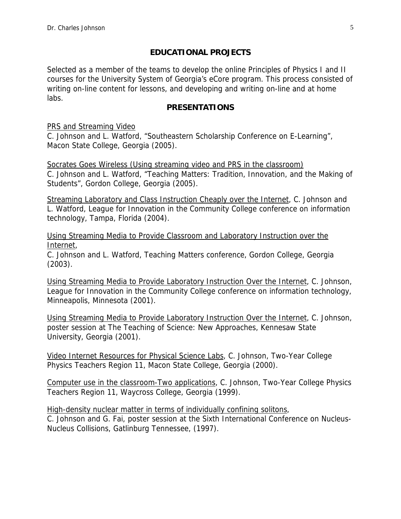# **EDUCATIONAL PROJECTS**

Selected as a member of the teams to develop the online Principles of Physics I and II courses for the University System of Georgia's eCore program. This process consisted of writing on-line content for lessons, and developing and writing on-line and at home labs.

# **PRESENTATIONS**

PRS and Streaming Video

C. Johnson and L. Watford, "Southeastern Scholarship Conference on E-Learning", Macon State College, Georgia (2005).

Socrates Goes Wireless (Using streaming video and PRS in the classroom) C. Johnson and L. Watford, "Teaching Matters: Tradition, Innovation, and the Making of Students", Gordon College, Georgia (2005).

Streaming Laboratory and Class Instruction Cheaply over the Internet, C. Johnson and L. Watford, League for Innovation in the Community College conference on information technology, Tampa, Florida (2004).

Using Streaming Media to Provide Classroom and Laboratory Instruction over the Internet,

C. Johnson and L. Watford, Teaching Matters conference, Gordon College, Georgia (2003).

Using Streaming Media to Provide Laboratory Instruction Over the Internet, C. Johnson, League for Innovation in the Community College conference on information technology, Minneapolis, Minnesota (2001).

Using Streaming Media to Provide Laboratory Instruction Over the Internet, C. Johnson, poster session at The Teaching of Science: New Approaches, Kennesaw State University, Georgia (2001).

Video Internet Resources for Physical Science Labs, C. Johnson, Two-Year College Physics Teachers Region 11, Macon State College, Georgia (2000).

Computer use in the classroom-Two applications, C. Johnson, Two-Year College Physics Teachers Region 11, Waycross College, Georgia (1999).

High-density nuclear matter in terms of individually confining solitons, C. Johnson and G. Fai, poster session at the Sixth International Conference on Nucleus-Nucleus Collisions, Gatlinburg Tennessee, (1997).